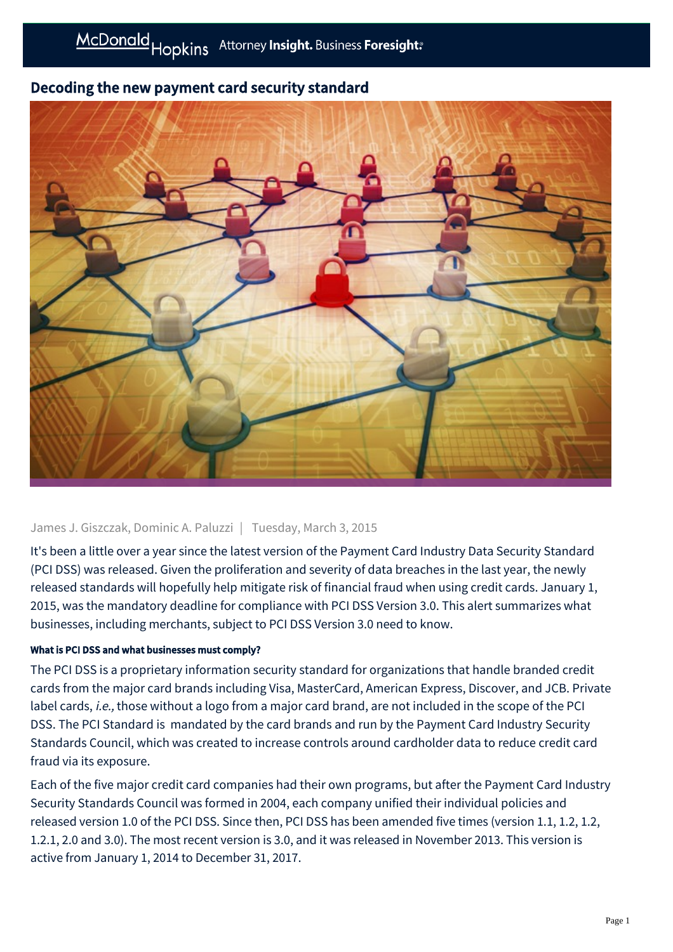# Decoding the new payment card security standard



# James J. Giszczak, Dominic A. Paluzzi | Tuesday, March 3, 2015

It's been a little over a year since the latest version of the Payment Card Industry Data Security Standard (PCI DSS) was released. Given the proliferation and severity of data breaches in the last year, the newly released standards will hopefully help mitigate risk of financial fraud when using credit cards. January 1, 2015, was the mandatory deadline for compliance with PCI DSS Version 3.0. This alert summarizes what businesses, including merchants, subject to PCI DSS Version 3.0 need to know.

## What is PCI DSS and what businesses must comply?

The PCI DSS is a proprietary information security standard for organizations that handle branded credit cards from the major card brands including Visa, MasterCard, American Express, Discover, and JCB. Private label cards, i.e., those without a logo from a major card brand, are not included in the scope of the PCI DSS. The PCI Standard is mandated by the card brands and run by the Payment Card Industry Security Standards Council, which was created to increase controls around cardholder data to reduce credit card fraud via its exposure.

Each of the five major credit card companies had their own programs, but after the Payment Card Industry Security Standards Council was formed in 2004, each company unified their individual policies and released version 1.0 of the PCI DSS. Since then, PCI DSS has been amended five times (version 1.1, 1.2, 1.2, 1.2.1, 2.0 and 3.0). The most recent version is 3.0, and it was released in November 2013. This version is active from January 1, 2014 to December 31, 2017.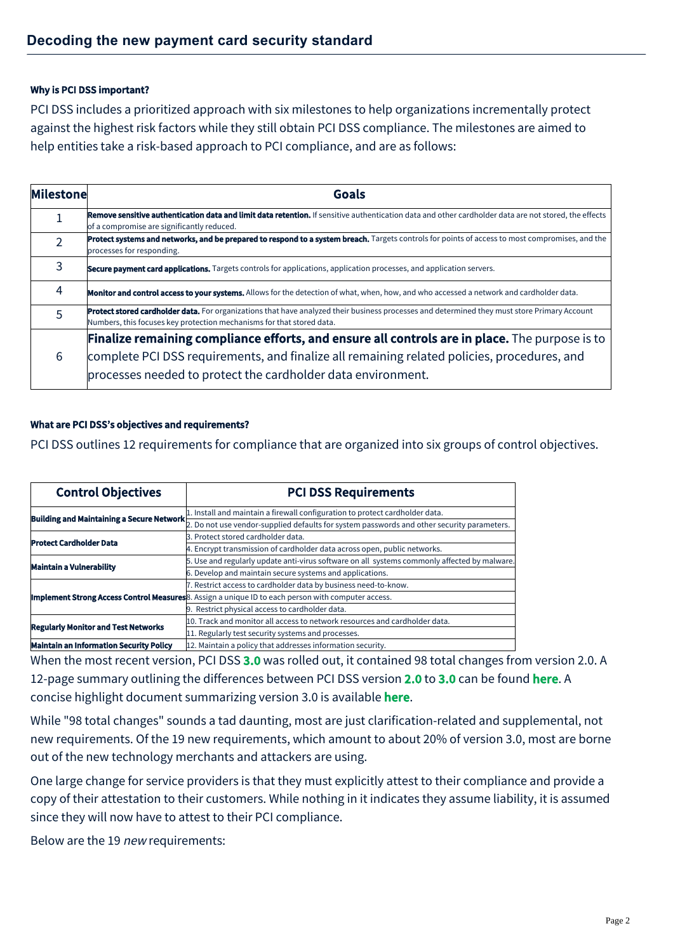#### Why is PCI DSS important?

PCI DSS includes a prioritized approach with six milestones to help organizations incrementally protect against the highest risk factors while they still obtain PCI DSS compliance. The milestones are aimed to help entities take a risk-based approach to PCI compliance, and are as follows:

| Milestone | Goals                                                                                                                                                                                                                 |  |
|-----------|-----------------------------------------------------------------------------------------------------------------------------------------------------------------------------------------------------------------------|--|
|           | Remove sensitive authentication data and limit data retention. If sensitive authentication data and other cardholder data are not stored, the effects<br>of a compromise are significantly reduced.                   |  |
|           | Protect systems and networks, and be prepared to respond to a system breach. Targets controls for points of access to most compromises, and the<br>processes for responding.                                          |  |
| 3         | <b>Secure payment card applications.</b> Targets controls for applications, application processes, and application servers.                                                                                           |  |
| 4         | <b>Monitor and control access to your systems.</b> Allows for the detection of what, when, how, and who accessed a network and cardholder data.                                                                       |  |
| 5         | Protect stored cardholder data. For organizations that have analyzed their business processes and determined they must store Primary Account<br>Numbers, this focuses key protection mechanisms for that stored data. |  |
| 6         | Finalize remaining compliance efforts, and ensure all controls are in place. The purpose is to                                                                                                                        |  |
|           | complete PCI DSS requirements, and finalize all remaining related policies, procedures, and<br>processes needed to protect the cardholder data environment.                                                           |  |

### What are PCI DSS's objectives and requirements?

PCI DSS outlines 12 requirements for compliance that are organized into six groups of control objectives.

| <b>Control Objectives</b>                        | <b>PCI DSS Requirements</b>                                                                                |
|--------------------------------------------------|------------------------------------------------------------------------------------------------------------|
| <b>Building and Maintaining a Secure Network</b> | 1. Install and maintain a firewall configuration to protect cardholder data.                               |
|                                                  | 2. Do not use vendor-supplied defaults for system passwords and other security parameters.                 |
| <b>Protect Cardholder Data</b>                   | 3. Protect stored cardholder data.                                                                         |
|                                                  | 4. Encrypt transmission of cardholder data across open, public networks.                                   |
| <b>Maintain a Vulnerability</b>                  | 5. Use and regularly update anti-virus software on all systems commonly affected by malware.               |
|                                                  | 6. Develop and maintain secure systems and applications.                                                   |
|                                                  | 7. Restrict access to cardholder data by business need-to-know.                                            |
|                                                  | <b>Implement Strong Access Control Measures</b> 8. Assign a unique ID to each person with computer access. |
|                                                  | 9. Restrict physical access to cardholder data.                                                            |
| <b>Regularly Monitor and Test Networks</b>       | 10. Track and monitor all access to network resources and cardholder data.                                 |
|                                                  | 11. Regularly test security systems and processes.                                                         |
| <b>Maintain an Information Security Policy</b>   | 12. Maintain a policy that addresses information security.                                                 |

When the most recent version, PCI DSS [3.0](https://www.pcisecuritystandards.org/documents/pci_dss_v2.pdf) was rolled out, it contained 98 total changes from version 2.0. A 12-page summary outlining the differences between PCI DSS version [2.0](https://www.pcisecuritystandards.org/documents/pci_dss_v2.pdf) to [3.0](https://www.pcisecuritystandards.org/documents/pci_dss_v2.pdf) can be found [here](https://www.pcisecuritystandards.org/documents/PCI_DSS_v3_Summary_of_Changes.pdf). A concise highlight document summarizing version 3.0 is available [here](https://www.pcisecuritystandards.org/documents/DSS_and_PA-DSS_Change_Highlights.pdf).

While "98 total changes" sounds a tad daunting, most are just clarification-related and supplemental, not new requirements. Of the 19 new requirements, which amount to about 20% of version 3.0, most are borne out of the new technology merchants and attackers are using.

One large change for service providers is that they must explicitly attest to their compliance and provide a copy of their attestation to their customers. While nothing in it indicates they assume liability, it is assumed since they will now have to attest to their PCI compliance.

Below are the 19 new requirements: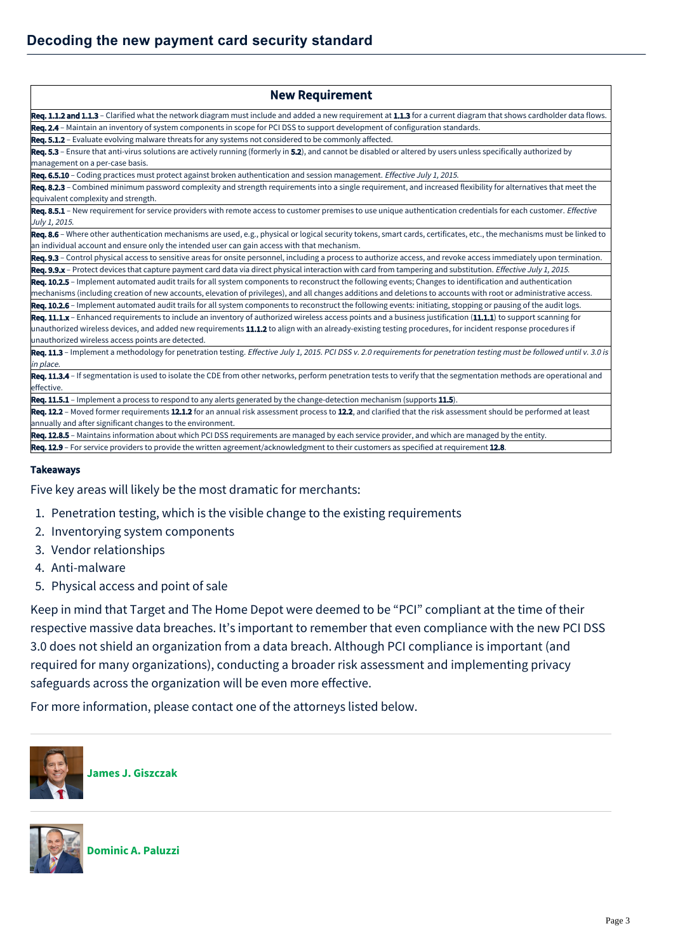| <b>New Requirement</b>                                                                                                                                                    |
|---------------------------------------------------------------------------------------------------------------------------------------------------------------------------|
| Req. 1.1.2 and 1.1.3 – Clarified what the network diagram must include and added a new requirement at 1.1.3 for a current diagram that shows cardholder data flows.       |
| Req. 2.4 - Maintain an inventory of system components in scope for PCI DSS to support development of configuration standards.                                             |
| <b>Req. 5.1.2</b> - Evaluate evolving malware threats for any systems not considered to be commonly affected.                                                             |
| Req. 5.3 – Ensure that anti-virus solutions are actively running (formerly in 5.2), and cannot be disabled or altered by users unless specifically authorized by          |
| management on a per-case basis.                                                                                                                                           |
| Req. 6.5.10 - Coding practices must protect against broken authentication and session management. <i>Effective July 1, 2015</i> .                                         |
| Req. 8.2.3 – Combined minimum password complexity and strength requirements into a single requirement, and increased flexibility for alternatives that meet the           |
| equivalent complexity and strength.                                                                                                                                       |
| Req. 8.5.1 - New requirement for service providers with remote access to customer premises to use unique authentication credentials for each customer. Effective          |
| July 1, 2015.                                                                                                                                                             |
| Req. 8.6 – Where other authentication mechanisms are used, e.g., physical or logical security tokens, smart cards, certificates, etc., the mechanisms must be linked to   |
| an individual account and ensure only the intended user can gain access with that mechanism.                                                                              |
| Req. 9.3 - Control physical access to sensitive areas for onsite personnel, including a process to authorize access, and revoke access immediately upon termination.      |
| Req. 9.9.x - Protect devices that capture payment card data via direct physical interaction with card from tampering and substitution. Effective July 1, 2015.            |
| Req. 10.2.5 - Implement automated audit trails for all system components to reconstruct the following events; Changes to identification and authentication                |
| mechanisms (including creation of new accounts, elevation of privileges), and all changes additions and deletions to accounts with root or administrative access.         |
| Req. 10.2.6 - Implement automated audit trails for all system components to reconstruct the following events: initiating, stopping or pausing of the audit logs.          |
| Req. 11.1.x - Enhanced requirements to include an inventory of authorized wireless access points and a business justification (11.1.1) to support scanning for            |
| unauthorized wireless devices, and added new requirements 11.1.2 to align with an already-existing testing procedures, for incident response procedures if                |
| unauthorized wireless access points are detected.                                                                                                                         |
| Req. 11.3 - Implement a methodology for penetration testing. Effective July 1, 2015. PCI DSS v. 2.0 requirements for penetration testing must be followed until v. 3.0 is |
| in place.                                                                                                                                                                 |
| Req. 11.3.4 - If segmentation is used to isolate the CDE from other networks, perform penetration tests to verify that the segmentation methods are operational and       |
| effective.                                                                                                                                                                |
| Req. 11.5.1 - Implement a process to respond to any alerts generated by the change-detection mechanism (supports 11.5).                                                   |
| Req. 12.2 - Moved former requirements 12.1.2 for an annual risk assessment process to 12.2, and clarified that the risk assessment should be performed at least           |
| annually and after significant changes to the environment.                                                                                                                |
| Req. 12.8.5 - Maintains information about which PCI DSS requirements are managed by each service provider, and which are managed by the entity.                           |
| Req. 12.9 - For service providers to provide the written agreement/acknowledgment to their customers as specified at requirement 12.8.                                    |

#### Takeaways

Five key areas will likely be the most dramatic for merchants:

- 1. Penetration testing, which is the visible change to the existing requirements
- 2. Inventorying system components
- 3. Vendor relationships
- 4. Anti-malware
- 5. Physical access and point of sale

Keep in mind that Target and The Home Depot were deemed to be "PCI" compliant at the time of their respective massive data breaches. It's important to remember that even compliance with the new PCI DSS 3.0 does not shield an organization from a data breach. Although PCI compliance is important (and required for many organizations), conducting a broader risk assessment and implementing privacy safeguards across the organization will be even more effective.

For more information, please contact one of the attorneys listed below.



**[James J. Giszczak](https://mcdonaldhopkins.com/Team/Attorney/j/James-Giszczak)**



**[Dominic A. Paluzzi](https://mcdonaldhopkins.com/Team/Attorney/d/Dominic-Paluzzi)**